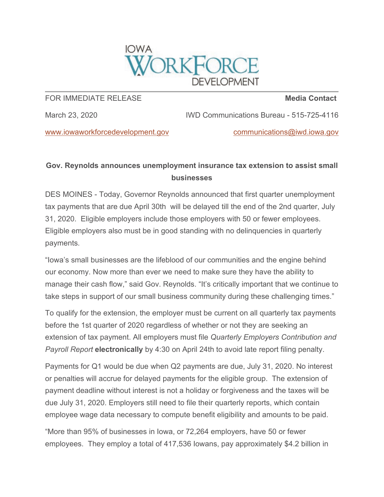

## FOR IMMEDIATE RELEASE

**Media Contact**

March 23, 2020

IWD Communications Bureau - 515-725-4116

[www.iowaworkforcedevelopment.gov](mhtml:file://C:%5CUsers%5Candy%5CAppData%5CLocal%5CMicrosoft%5CWindows%5CINetCache%5CContent.Outlook%5CVOCBCEBV%5Cemail.mht!https://lnks.gd/l/eyJhbGciOiJIUzI1NiJ9.eyJidWxsZXRpbl9saW5rX2lkIjoxMDEsInVyaSI6ImJwMjpjbGljayIsImJ1bGxldGluX2lkIjoiMjAyMDAzMjMuMTkxODA5NzEiLCJ1cmwiOiJodHRwczovL3d3dy5pb3dhd29ya2ZvcmNlZGV2ZWxvcG1lbnQuZ292Lz91dG1fbWVkaXVtPWVtYWlsJnV0bV9zb3VyY2U9Z292ZGVsaXZlcnkifQ.8jNx7Rfpubhh2ujMoNKCm6WpDtY1XH-2AXeDkkJ-RS0/br/76509325100-l)

[communications@iwd.iowa.gov](mailto:communications@iwd.iowa.gov)

## **Gov. Reynolds announces unemployment insurance tax extension to assist small businesses**

DES MOINES - Today, Governor Reynolds announced that first quarter unemployment tax payments that are due April 30th will be delayed till the end of the 2nd quarter, July 31, 2020. Eligible employers include those employers with 50 or fewer employees. Eligible employers also must be in good standing with no delinquencies in quarterly payments.

"Iowa's small businesses are the lifeblood of our communities and the engine behind our economy. Now more than ever we need to make sure they have the ability to manage their cash flow," said Gov. Reynolds. "It's critically important that we continue to take steps in support of our small business community during these challenging times."

To qualify for the extension, the employer must be current on all quarterly tax payments before the 1st quarter of 2020 regardless of whether or not they are seeking an extension of tax payment. All employers must file *Quarterly Employers Contribution and Payroll Report* **electronically** by 4:30 on April 24th to avoid late report filing penalty.

Payments for Q1 would be due when Q2 payments are due, July 31, 2020. No interest or penalties will accrue for delayed payments for the eligible group. The extension of payment deadline without interest is not a holiday or forgiveness and the taxes will be due July 31, 2020. Employers still need to file their quarterly reports, which contain employee wage data necessary to compute benefit eligibility and amounts to be paid.

"More than 95% of businesses in Iowa, or 72,264 employers, have 50 or fewer employees. They employ a total of 417,536 Iowans, pay approximately \$4.2 billion in